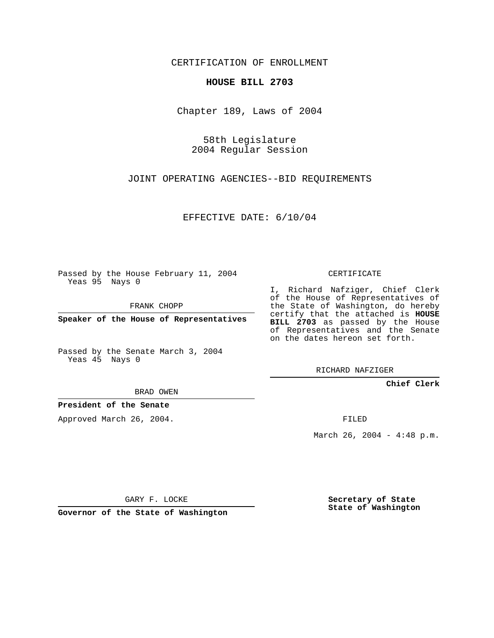CERTIFICATION OF ENROLLMENT

## **HOUSE BILL 2703**

Chapter 189, Laws of 2004

58th Legislature 2004 Regular Session

JOINT OPERATING AGENCIES--BID REQUIREMENTS

EFFECTIVE DATE: 6/10/04

Passed by the House February 11, 2004 Yeas 95 Nays 0

FRANK CHOPP

**Speaker of the House of Representatives**

Passed by the Senate March 3, 2004 Yeas 45 Nays 0

BRAD OWEN

**President of the Senate**

Approved March 26, 2004.

CERTIFICATE

I, Richard Nafziger, Chief Clerk of the House of Representatives of the State of Washington, do hereby certify that the attached is **HOUSE BILL 2703** as passed by the House of Representatives and the Senate on the dates hereon set forth.

RICHARD NAFZIGER

**Chief Clerk**

FILED

March 26, 2004 - 4:48 p.m.

GARY F. LOCKE

**Governor of the State of Washington**

**Secretary of State State of Washington**